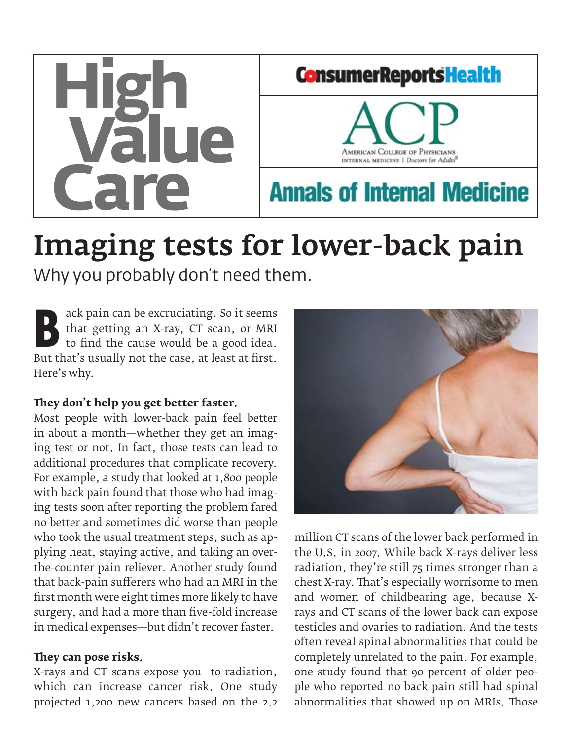

# Imaging tests for lower-back pain

Why you probably don't need them.

ack pain can be excruciating. So it seems<br>that getting an X-ray, CT scan, or MRI<br>to find the cause would be a good idea.<br>But that's usually not the case, at least at first that getting an X-ray, CT scan, or MRI to find the cause would be a good idea. But that's usually not the case, at least at first. Here's why.

#### **They don't help you get better faster.**

Most people with lower-back pain feel better in about a month—whether they get an imaging test or not. In fact, those tests can lead to additional procedures that complicate recovery. For example, a study that looked at 1,800 people with back pain found that those who had imaging tests soon after reporting the problem fared no better and sometimes did worse than people who took the usual treatment steps, such as applying heat, staying active, and taking an overthe-counter pain reliever. Another study found that back-pain sufferers who had an MRI in the first month were eight times more likely to have surgery, and had a more than five-fold increase in medical expenses—but didn't recover faster.

### **They can pose risks.**

X-rays and CT scans expose you to radiation, which can increase cancer risk. One study projected 1,200 new cancers based on the 2.2



million CT scans of the lower back performed in the U.S. in 2007. While back X-rays deliver less radiation, they're still 75 times stronger than a chest X-ray. That's especially worrisome to men and women of childbearing age, because Xrays and CT scans of the lower back can expose testicles and ovaries to radiation. And the tests often reveal spinal abnormalities that could be completely unrelated to the pain. For example, one study found that 90 percent of older people who reported no back pain still had spinal abnormalities that showed up on MRIs. Those